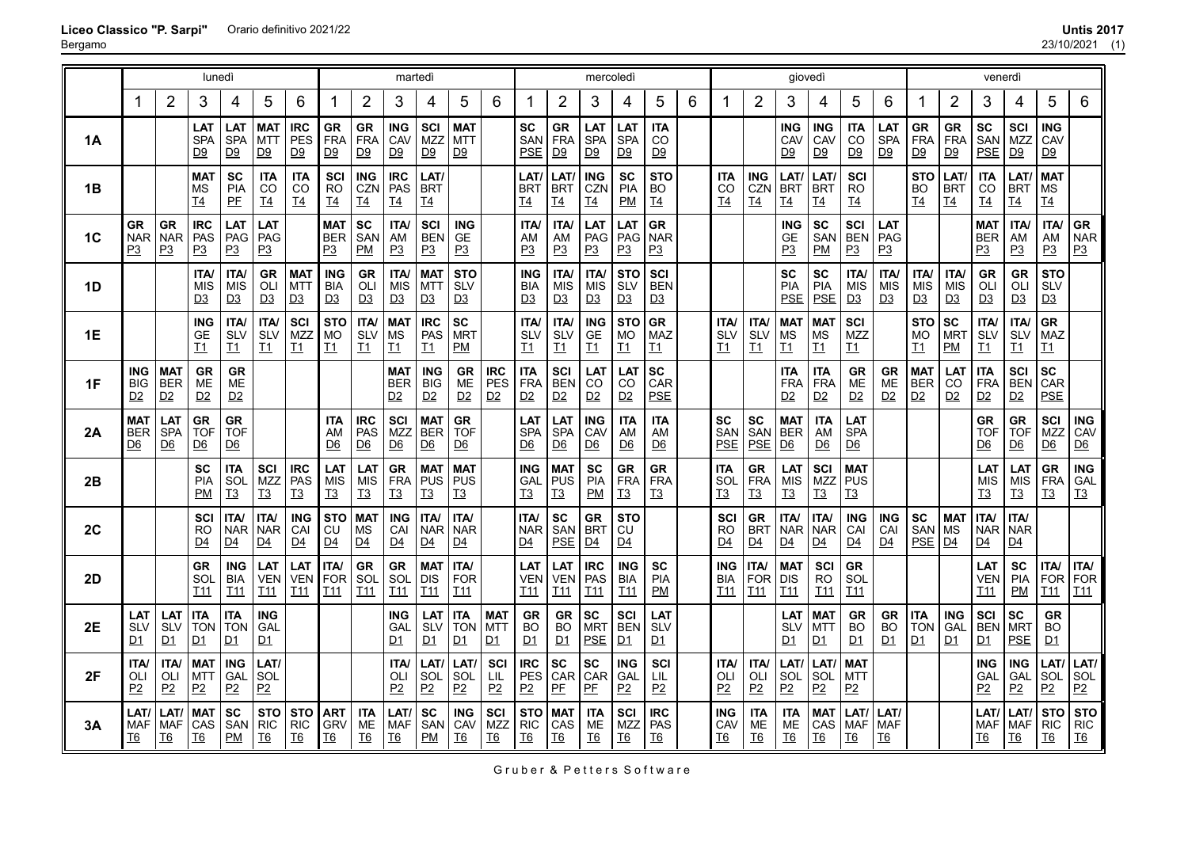| 23/10/2021 | (1) |
|------------|-----|
|------------|-----|

|                | lunedì                                                |                                       |                                                      |                                                        |                                                        |                                       |                                             | martedì                                                |                                                       |                                                        |                                                        |                                       |                                                 | mercoledì                                       |                                                |                                               |                                    |   |                                                 | giovedì                                   |                                                        |                                                      |                                       | venerdì                                        |                                           |                                           |                                                        |                                                        |                                             |                                              |
|----------------|-------------------------------------------------------|---------------------------------------|------------------------------------------------------|--------------------------------------------------------|--------------------------------------------------------|---------------------------------------|---------------------------------------------|--------------------------------------------------------|-------------------------------------------------------|--------------------------------------------------------|--------------------------------------------------------|---------------------------------------|-------------------------------------------------|-------------------------------------------------|------------------------------------------------|-----------------------------------------------|------------------------------------|---|-------------------------------------------------|-------------------------------------------|--------------------------------------------------------|------------------------------------------------------|---------------------------------------|------------------------------------------------|-------------------------------------------|-------------------------------------------|--------------------------------------------------------|--------------------------------------------------------|---------------------------------------------|----------------------------------------------|
|                | 1                                                     | 2                                     | 3                                                    | 4                                                      | 5                                                      | 6                                     | 1                                           | $\overline{2}$                                         | 3                                                     | 4                                                      | 5                                                      | 6                                     |                                                 | $\overline{2}$                                  | 3                                              | 4                                             | 5                                  | 6 | 1                                               | $\overline{2}$                            | 3                                                      | 4                                                    | 5                                     | 6                                              |                                           | $\overline{2}$                            | 3                                                      | 4                                                      | 5                                           | 6                                            |
| 1Α             |                                                       |                                       | LAT<br><b>SPA</b><br>D <sub>9</sub>                  | LAT<br>SPA<br>D9                                       | <b>MAT</b><br><b>MTT</b><br>D9                         | <b>IRC</b><br>PES<br>D9               | <b>GR</b><br><b>FRA</b><br>D9               | <b>GR</b><br><b>FRA</b><br>D9                          | <b>ING</b><br>CAV<br>D9                               | SCI<br><b>MZZ</b><br>D9                                | <b>MAT</b><br><b>MTT</b><br>D9                         |                                       | SC<br>SAN<br><b>PSE</b>                         | <b>GR</b><br><b>FRA</b><br>D9                   | LAT<br>SPA<br>D9                               | LAT<br><b>SPA</b><br><u>D9</u>                | <b>ITA</b><br>CO<br><u>D9</u>      |   |                                                 |                                           | <b>ING</b><br>CAV<br>D9                                | <b>ING</b><br>CAV<br>D9                              | <b>ITA</b><br>CO<br>D9                | LAT<br><b>SPA</b><br>D9                        | <b>GR</b><br><b>FRA</b><br>D9             | <b>GR</b><br><b>FRA</b><br>D9             | <b>SC</b><br>SAN<br><b>PSE</b>                         | SCI<br><b>MZZ</b><br>D9                                | <b>ING</b><br>CAV<br>D9                     |                                              |
| 1B             |                                                       |                                       | <b>MAT</b><br>ΜS<br>$\underline{T4}$                 | <b>SC</b><br><b>PIA</b><br>PE                          | ITA<br>CO<br>$\underline{T4}$                          | <b>ITA</b><br>CO<br>$\underline{T4}$  | SCI<br><b>RO</b><br>I <sub>4</sub>          | <b>ING</b><br><b>CZN</b><br>$\underline{T4}$           | <b>IRC</b><br><b>PAS</b><br>T <sub>4</sub>            | <b>LAT</b><br><b>BRT</b><br><u>T4</u>                  |                                                        |                                       | LAT<br><b>BRT</b><br><u>T4</u>                  | LAT/<br><b>BRT</b><br>T4                        | <b>ING</b><br>CZN<br><u>T4</u>                 | <b>SC</b><br><b>PIA</b><br>PM                 | <b>STO</b><br>BO<br>T <sub>4</sub> |   | <b>ITA</b><br>CO<br>$\underline{T4}$            | ING<br><b>CZN</b><br>$\underline{T4}$     | LAT/<br><b>BRT</b><br>$\underline{\mathsf{T4}}$        | LAT<br><b>BRT</b><br><u>T4</u>                       | SCI<br><b>RO</b><br>$\underline{T4}$  |                                                | <b>STO</b><br><b>BO</b><br>T <sub>4</sub> | LAT/<br><b>BRT</b><br>T4                  | <b>ITA</b><br>CO<br>$\underline{\mathsf{T4}}$          | <b>LAT</b><br><b>BRT</b><br><u>T4</u>                  | <b>MAT</b><br><b>MS</b><br>$\underline{T4}$ |                                              |
| 1 <sub>C</sub> | <b>GR</b><br><b>NAR</b><br>P3                         | <b>GR</b><br><b>NAR</b><br>P3         | <b>IRC</b><br>PAS<br>P3                              | LAT<br>PAG<br>P3                                       | LAT<br>PAG<br>P3                                       |                                       | <b>MAT</b><br><b>BER</b><br>P3              | SC<br>SAN<br>PM                                        | <b>ITA</b><br>AM<br>P3                                | <b>SCI</b><br><b>BEN</b><br>P3                         | <b>ING</b><br><b>GE</b><br>P3                          |                                       | <b>ITA/</b><br>AM<br>P3                         | <b>ITA/</b><br>AM<br>P3                         | LAT<br>PAG<br>P3                               | LAT<br>PAG<br>P3                              | <b>GR</b><br><b>NAR</b><br>P3      |   |                                                 |                                           | <b>ING</b><br><b>GE</b><br>P3                          | <b>SC</b><br>SAN<br>PM                               | SCI<br><b>BEN</b><br>P3               | LAT<br>PAG<br>P3                               |                                           |                                           | <b>MAT</b><br><b>BER</b><br>P3                         | <b>ITA</b><br>AM<br>P3                                 | <b>ITA/</b><br>AM<br>P3                     | <b>GR</b><br><b>NAR</b><br>P3                |
| 1D             |                                                       |                                       | <b>ITA</b><br><b>MIS</b><br>D3                       | <b>ITA/</b><br><b>MIS</b><br>D3                        | GR<br>OLI<br>D3                                        | <b>MAT</b><br><b>MTT</b><br>D3        | <b>ING</b><br><b>BIA</b><br>D3              | <b>GR</b><br>OLI<br>D3                                 | <b>ITA</b><br><b>MIS</b><br>D3                        | <b>MAT</b><br><b>MTT</b><br>D3                         | <b>STO</b><br><b>SLV</b><br>D3                         |                                       | <b>ING</b><br><b>BIA</b><br>D3                  | <b>ITA/</b><br>MIS<br><u>D3</u>                 | <b>ITA</b><br><b>MIS</b><br>D3                 | <b>STO</b><br><b>SLV</b><br>D3                | SCI<br><b>BEN</b><br>D3            |   |                                                 |                                           | <b>SC</b><br><b>PIA</b><br><b>PSE</b>                  | <b>SC</b><br><b>PIA</b><br><b>PSE</b>                | <b>ITA/</b><br><b>MIS</b><br>D3       | <b>ITA</b><br><b>MIS</b><br>D3                 | <b>ITA/</b><br><b>MIS</b><br>D3           | <b>ITA/</b><br>MIS<br>D3                  | <b>GR</b><br>OLI<br>D3                                 | <b>GR</b><br>OLI<br>D3                                 | <b>STO</b><br><b>SLV</b><br>D3              |                                              |
| 1E             |                                                       |                                       | <b>ING</b><br><b>GE</b><br>I1                        | <b>ITA/</b><br><b>SLV</b><br>$\underline{\mathsf{T1}}$ | <b>ITA/</b><br><b>SLV</b><br>T1                        | SCI<br><b>MZZ</b><br>I1               | <b>STO</b><br><b>MO</b><br>T1               | <b>ITA/</b><br><b>SLV</b><br>$\underline{\mathsf{T1}}$ | <b>MAT</b><br>MS<br>$\underline{\mathsf{T1}}$         | <b>IRC</b><br>PAS<br>I1                                | <b>SC</b><br><b>MRT</b><br>PM                          |                                       | <b>ITA/</b><br>SLV<br>$\underline{\mathsf{T1}}$ | ITA/<br><b>SLV</b><br>$\underline{\mathsf{T1}}$ | <b>ING</b><br><b>GE</b><br>I1                  | <b>STO</b><br>MO<br>$\underline{\mathsf{T1}}$ | GR<br><b>MAZ</b><br><u>T1</u>      |   | ITA/<br><b>SLV</b><br>$\underline{\mathsf{T1}}$ | <b>ITA/</b><br><b>SLV</b><br>11           | <b>MAT</b><br>MS<br>$\underline{\mathsf{T1}}$          | <b>MAT</b><br><b>MS</b><br>$\underline{\mathsf{T1}}$ | SCI<br><b>MZZ</b><br>11               |                                                | <b>STO</b><br><b>MO</b><br>T1             | <b>SC</b><br><b>MRT</b><br>PM             | <b>ITA</b><br>SLV<br>I1                                | <b>ITA/</b><br><b>SLV</b><br>$\underline{\mathsf{T1}}$ | <b>GR</b><br><b>MAZ</b><br>I1               |                                              |
| 1F             | <b>ING</b><br><b>BIG</b><br>D <sub>2</sub>            | <b>MAT</b><br><b>BER</b><br><u>D2</u> | GR<br>ME<br>D2                                       | GR<br>ME<br>D2                                         |                                                        |                                       |                                             |                                                        | <b>MAT</b><br><b>BER</b><br>D2                        | <b>ING</b><br><b>BIG</b><br>D2                         | <b>GR</b><br><b>ME</b><br>D2                           | <b>IRC</b><br>PES<br>D2               | <b>ITA</b><br><b>FRA</b><br>D2                  | SCI<br><b>BEN</b><br><u>D2</u>                  | LAT<br>CO<br>D2                                | LAT<br>CO<br>D2                               | <b>SC</b><br>CAR<br><b>PSE</b>     |   |                                                 |                                           | <b>ITA</b><br>FRA<br>D2                                | <b>ITA</b><br><b>FRA</b><br>D2                       | GR<br>ME<br>D2                        | GR<br><b>ME</b><br>D2                          | <b>MA1</b><br><b>BER</b><br>D2            | <b>LAT</b><br>CO<br>D2                    | <b>ITA</b><br><b>FRA</b><br>D2                         | <b>SCI</b><br><b>BEN</b><br>D2                         | <b>SC</b><br>CAR<br><b>PSE</b>              |                                              |
| 2A             | <b>MAT</b><br><b>BER</b><br>$\underline{\mathsf{D6}}$ | <b>LAT</b><br><b>SPA</b><br><u>D6</u> | <b>GR</b><br><b>TOF</b><br>$\underline{\mathsf{D6}}$ | <b>GR</b><br><b>TOF</b><br><u>D6</u>                   |                                                        |                                       | <b>ITA</b><br>AM<br>D <sub>6</sub>          | <b>IRC</b><br><b>PAS</b><br>$\underline{\mathsf{D6}}$  | <b>SCI</b><br><b>MZZ</b><br>$\underline{\mathsf{D6}}$ | <b>MAT</b><br><b>BER</b><br>$\underline{\mathsf{D6}}$  | <b>GR</b><br><b>TOF</b><br>$\underline{\mathsf{D6}}$   |                                       | LAT<br><b>SPA</b><br>D <sub>6</sub>             | <b>LAT</b><br><b>SPA</b><br>D6                  | <b>ING</b><br>CAV<br>$\underline{\mathsf{D6}}$ | <b>ITA</b><br>AM<br>$\underline{\mathsf{D6}}$ | <b>ITA</b><br>AM<br><u>D6</u>      |   | <b>SC</b><br>SAN<br><b>PSE</b>                  | <b>SC</b><br>SAN<br><b>PSE</b>            | <b>MAT</b><br><b>BER</b><br>$\underline{\mathsf{D6}}$  | <b>ITA</b><br>AM<br>D6                               | <b>LAT</b><br><b>SPA</b><br>D6        |                                                |                                           |                                           | <b>GR</b><br>TOF<br>D <sub>6</sub>                     | <b>GR</b><br><b>TOF</b><br>$\underline{\mathsf{D6}}$   | SCI<br>MZZ<br>$\underline{\mathsf{D6}}$     | <b>ING</b><br>CAV<br>D6                      |
| 2B             |                                                       |                                       | SC<br><b>PIA</b><br>PM                               | <b>ITA</b><br>SOL<br><u>T3</u>                         | <b>SCI</b><br><b>MZZ</b><br>$\underline{13}$           | <b>IRC</b><br>PAS<br>$\underline{13}$ | LAT<br><b>MIS</b><br>13                     | <b>LAT</b><br><b>MIS</b><br>$\mathbf{I}3$              | <b>GR</b><br>FRA<br><u>T3</u>                         | <b>MAT</b><br><b>PUS</b><br><u>T3</u>                  | <b>MAT</b><br>PUS<br><u>T3</u>                         |                                       | <b>ING</b><br><b>GAL</b><br>T <sub>3</sub>      | <b>MAT</b><br>PUS<br>T3                         | <b>SC</b><br><b>PIA</b><br>PM                  | <b>GR</b><br><b>FRA</b><br>$\underline{13}$   | <b>GR</b><br><b>FRA</b><br>T3      |   | <b>ITA</b><br>SOL<br>T3                         | <b>GR</b><br><b>FRA</b><br>I <sub>3</sub> | LAT<br><b>MIS</b><br>13                                | SCI<br><b>MZZ</b><br>13                              | <b>MAT</b><br><b>PUS</b><br><u>T3</u> |                                                |                                           |                                           | LAT<br><b>MIS</b><br>13                                | LAT<br><b>MIS</b><br>$\underline{13}$                  | <b>GR</b><br>FRA<br>$\mathbf{I}3$           | <b>ING</b><br><b>GAL</b><br>T <sub>3</sub>   |
| 2C             |                                                       |                                       | SCI<br><b>RO</b><br>D <sub>4</sub>                   | <b>ITA/</b><br><b>NAR</b><br>$\overline{D4}$           | <b>ITA/</b><br><b>NAR</b><br>$\underline{\mathsf{D4}}$ | <b>ING</b><br>CAI<br>$\underline{D4}$ | <b>STO</b><br>CU<br>$\underline{D4}$        | <b>MAT</b><br><b>MS</b><br>D4                          | <b>ING</b><br>CAI<br>D4                               | <b>ITA/</b><br><b>NAR</b><br>$\underline{\mathsf{D4}}$ | <b>ITA/</b><br><b>NAR</b><br>$\underline{\mathsf{D4}}$ |                                       | <b>ITA</b><br><b>NAR</b><br>D4                  | <b>SC</b><br>SAN<br><b>PSE</b>                  | GR<br><b>BRT</b><br>D4                         | <b>STO</b><br>CU<br>D4                        |                                    |   | <b>SCI</b><br><b>RO</b><br>D <sub>4</sub>       | <b>GR</b><br><b>BRT</b><br>D <sub>4</sub> | <b>ITA/</b><br><b>NAR</b><br>$\underline{\mathsf{D4}}$ | <b>ITA/</b><br><b>NAR</b><br>D4                      | <b>ING</b><br>CAI<br>D4               | <b>ING</b><br>CAI<br>$\underline{\mathsf{D4}}$ | <b>SC</b><br>SAN<br><b>PSE</b>            | <b>MAT</b><br><b>MS</b><br>D <sub>4</sub> | <b>ITA/</b><br><b>NAR</b><br>$\underline{\mathsf{D4}}$ | <b>ITA/</b><br><b>NAR</b><br>$\underline{\mathsf{D4}}$ |                                             |                                              |
| 2D             |                                                       |                                       | <b>GR</b><br>SOL<br><b>T11</b>                       | <b>ING</b><br><b>BIA</b><br><b>T11</b>                 | <b>LAT</b><br><b>VEN</b><br><b>I11</b>                 | LAT<br><b>VEN</b><br>T11              | <b>ITA</b><br><b>FOR</b><br>T <sub>11</sub> | GR<br>SOL<br>T <sub>11</sub>                           | GR<br>SOL<br><b>T11</b>                               | <b>MAT</b><br><b>DIS</b><br>I11                        | <b>ITA/</b><br><b>FOR</b><br><b>T11</b>                |                                       | LAT<br>VEN<br>T <sub>11</sub>                   | LAT<br><b>VEN</b><br>T <sub>11</sub>            | <b>IRC</b><br>PAS<br><b>T11</b>                | <b>ING</b><br><b>BIA</b><br><b>T11</b>        | <b>SC</b><br>PIA<br>PM             |   | <b>ING</b><br><b>BIA</b><br>T <sub>11</sub>     | <b>ITA/</b><br><b>FOR</b><br><b>I11</b>   | <b>MAT</b><br><b>DIS</b><br><b>T11</b>                 | SCI<br><b>RO</b><br><b>T11</b>                       | <b>GR</b><br>SOL<br><b>I11</b>        |                                                |                                           |                                           | LAT<br><b>VEN</b><br><b>T11</b>                        | <b>SC</b><br>PIA<br>PM                                 | <b>ITA/</b><br>FOR<br><b>I11</b>            | <b>ITA/</b><br><b>FOR</b><br>T <sub>11</sub> |
| 2E             | LA <sub>1</sub><br><b>SLV</b><br>D <sub>1</sub>       | <b>LAT</b><br>SLV<br>D1               | <b>ITA</b><br><b>TON</b><br>D1                       | <b>ITA</b><br><b>TON</b><br>D1                         | <b>ING</b><br>GAL<br><u>D1</u>                         |                                       |                                             |                                                        | <b>ING</b><br><b>GAL</b><br>D <sub>1</sub>            | LAT<br><b>SLV</b><br>D1                                | <b>ITA</b><br><b>TON</b><br>D1                         | <b>MAT</b><br>MTT<br>D1               | GR<br><b>BO</b><br>D1                           | <b>GR</b><br><b>BO</b><br>D1                    | <b>SC</b><br><b>MRT</b><br><b>PSE</b>          | SCI<br><b>BEN</b><br>D1                       | LAT<br>SLV<br>D1                   |   |                                                 |                                           | LAT<br>SLV<br>D1                                       | <b>MAT</b><br><b>MTT</b><br>D1                       | GR<br><b>BO</b><br>D1                 | <b>GR</b><br><b>BO</b><br>D1                   | <b>ITA</b><br><b>TON</b><br>D1            | <b>ING</b><br>GAL<br>D1                   | <b>SCI</b><br><b>BEN</b><br>D1                         | SC<br><b>MRT</b><br><b>PSE</b>                         | GR<br><b>BO</b><br>D1                       |                                              |
| 2F             | <b>ITA/</b><br>OLI<br>P2                              | <b>ITA/</b><br>OLI<br>P2              | <b>MAT</b><br><b>MTT</b><br>P2                       | <b>ING</b><br>GAL<br>P2                                | LAT/<br>SOL<br>P2                                      |                                       |                                             |                                                        | <b>ITA</b><br>OLI<br>P2                               | LAT/<br>SOL<br>P2                                      | LAT/<br>SOL<br>P2                                      | SCI<br>LIL<br>P2                      | <b>IRC</b><br>PES<br>P2                         | <b>SC</b><br>CAR<br>PE                          | <b>SC</b><br>CAR<br>PE                         | <b>ING</b><br>GAL<br>P2                       | <b>SCI</b><br>LIL<br>P2            |   | <b>ITA/</b><br>OLI<br>P2                        | <b>ITA/</b><br>OLI<br>P2                  | LAT/<br>SOL<br>P2                                      | <b>LAT</b><br>SOL<br>P2                              | <b>MAT</b><br>MTT<br>P2               |                                                |                                           |                                           | <b>ING</b><br>GAL<br>P2                                | ING<br>GAL<br>P2                                       | LAT/<br><b>SOL</b><br>P2                    | LAT/<br>SOL<br>P2                            |
| 3A             | LAT<br><b>MAF</b><br><u>T6</u>                        | LAT/<br>MAF<br>T6                     | <b>MAT</b><br>CAS<br><u>T6</u>                       | <b>SC</b><br>SAN<br><b>PM</b>                          | <b>STO</b><br><b>RIC</b><br><b>T6</b>                  | <b>STO</b><br><b>RIC</b><br><b>T6</b> | AR <sub>1</sub><br><b>GRV</b><br><u>T6</u>  | ITA<br>ME<br><u>T6</u>                                 | LAT/<br><b>MAF</b><br><u>T6</u>                       | <b>SC</b><br>SAN<br>PM                                 | <b>ING</b><br>CAV<br><u>T6</u>                         | <b>SCI</b><br><b>MZZ</b><br><u>T6</u> | <b>STO</b><br><b>RIC</b><br><b>T6</b>           | <b>MAT</b><br>CAS<br><u>T6</u>                  | <b>ITA</b><br>ME<br><b>T6</b>                  | <b>SCI</b><br>MZZ<br><u>T6</u>                | IRC<br><b>PAS</b><br><u>T6</u>     |   | <b>ING</b><br>CAV<br><b>T6</b>                  | ITA<br>ME<br><u>T6</u>                    | ITA<br>ME<br><u>T6</u>                                 | <b>MAT</b><br>CAS<br><b>T6</b>                       | LAT/<br>MAF<br><u>T6</u>              | LAT/<br><b>MAF</b><br><u>T6</u>                |                                           |                                           | LAT/<br>MAF<br><b>T6</b>                               | <b>LAT</b><br><b>MAF</b><br><u>T6</u>                  | <b>STO</b><br><b>RIC</b><br><u>T6</u>       | <b>STO</b><br><b>RIC</b><br><b>T6</b>        |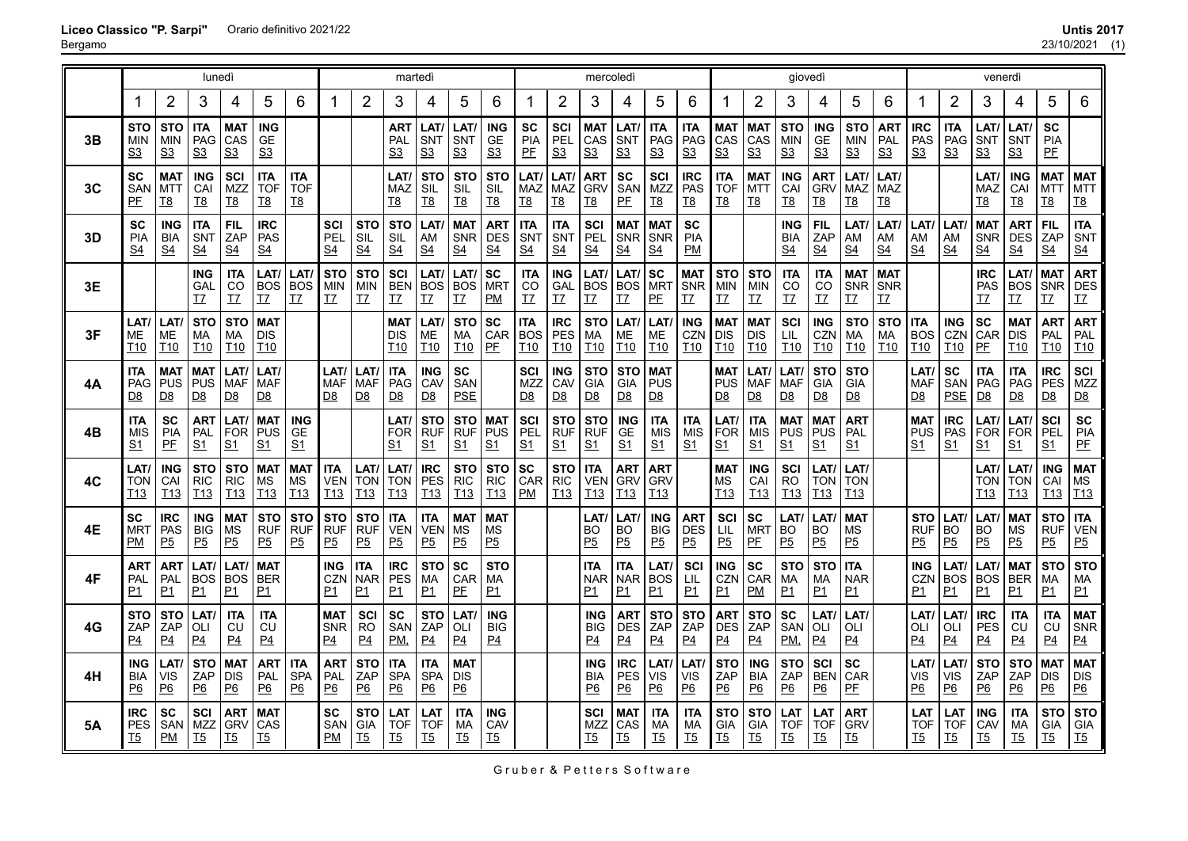23/10/2021 (1)

|    |                                     |                                            | lunedì                                       |                                                       |                                             |                                              |                                             |                                            | martedì                                      |                                             |                                              |                                             |                                             |                                             | mercoledì                                   |                                              |                                            |                                            |                                             |                                              | giovedì                                    |                                              |                                       |                                     | venerdì                                     |                                       |                                            |                                             |                                              |                                              |
|----|-------------------------------------|--------------------------------------------|----------------------------------------------|-------------------------------------------------------|---------------------------------------------|----------------------------------------------|---------------------------------------------|--------------------------------------------|----------------------------------------------|---------------------------------------------|----------------------------------------------|---------------------------------------------|---------------------------------------------|---------------------------------------------|---------------------------------------------|----------------------------------------------|--------------------------------------------|--------------------------------------------|---------------------------------------------|----------------------------------------------|--------------------------------------------|----------------------------------------------|---------------------------------------|-------------------------------------|---------------------------------------------|---------------------------------------|--------------------------------------------|---------------------------------------------|----------------------------------------------|----------------------------------------------|
|    | 1                                   | $\overline{2}$                             | 3                                            | 4                                                     | 5                                           | 6                                            | -1                                          | $\overline{2}$                             | 3                                            | 4                                           | 5                                            | 6                                           |                                             | $\overline{2}$                              | 3                                           | 4                                            | 5                                          | 6                                          |                                             | $\overline{2}$                               | 3                                          | 4                                            | 5                                     | 6                                   |                                             | $\overline{2}$                        | 3                                          | 4                                           | 5                                            | 6                                            |
| 3B | <b>STO</b><br>MIN<br>S <sub>3</sub> | <b>STO</b><br><b>MIN</b><br>S <sub>3</sub> | <b>ITA</b><br>PAG<br>S <sub>3</sub>          | <b>MAT</b><br>CAS<br><u>s3</u>                        | <b>ING</b><br>GE<br>S <sub>3</sub>          |                                              |                                             |                                            | <b>ART</b><br>PAL<br>S <sub>3</sub>          | LAT/<br>SNT<br>S <sub>3</sub>               | LAT/<br>SNT<br>S <sub>3</sub>                | <b>ING</b><br><b>GE</b><br>S <sub>3</sub>   | <b>SC</b><br>PIA<br>PE                      | SCI<br>PEL<br>S <sub>3</sub>                | <b>MAT</b><br>CAS<br>S <sub>3</sub>         | <b>LAT</b><br><b>SNT</b><br>S <sub>3</sub>   | <b>ITA</b><br>PAG<br>S <sub>3</sub>        | <b>ITA</b><br>PAG<br>S <sub>3</sub>        | MAT<br>CAS<br>S <sub>3</sub>                | <b>MAT</b><br>CAS<br>S <sub>3</sub>          | <b>STO</b><br><b>MIN</b><br>S <sub>3</sub> | <b>ING</b><br><b>GE</b><br>S <sub>3</sub>    | <b>STO</b><br>MIN<br>S <sub>3</sub>   | <b>ART</b><br>PAL<br>S <sub>3</sub> | <b>IRC</b><br>PAS<br>S <sub>3</sub>         | <b>ITA</b><br>PAG<br>S <sub>3</sub>   | LAT/<br><b>SNT</b><br>S <sub>3</sub>       | LAT/<br>SNT<br>S <sub>3</sub>               | <b>SC</b><br>PIA<br>PE                       |                                              |
| 3C | SC<br>SAN<br>PF                     | <b>MAT</b><br><b>MTT</b><br><u>T8</u>      | <b>ING</b><br>CAI<br><b>T8</b>               | SCI<br><b>MZZ</b><br><u>T8</u>                        | <b>ITA</b><br><b>TOF</b><br><u>T8</u>       | <b>ITA</b><br><b>TOF</b><br><u>T8</u>        |                                             |                                            | LAT/<br><b>MAZ</b><br><u>T8</u>              | <b>STO</b><br>SIL<br><u>T8</u>              | <b>STO</b><br>SIL<br><u>T8</u>               | <b>STO</b><br>SIL<br><u>T8</u>              | LAT/<br><b>MAZ</b><br><u>T8</u>             | LAT/<br>MAZ<br><u>T8</u>                    | <b>ART</b><br><b>GRV</b><br><u>T8</u>       | <b>SC</b><br>SAN<br>PE                       | SCI<br>MZZ<br><u>T8</u>                    | <b>IRC</b><br><b>PAS</b><br><u>T8</u>      | <b>ITA</b><br><b>TOF</b><br><u>T8</u>       | <b>MAT</b><br><b>MTT</b><br><u>T8</u>        | <b>ING</b><br>CAI<br><u>T8</u>             | <b>ART</b><br><b>GRV</b><br><u>T8</u>        | LAT/<br>MAZ<br><u>T8</u>              | LAT/<br>MAZ<br><u>T8</u>            |                                             |                                       | LAT/<br>MAZ<br><u>T8</u>                   | <b>ING</b><br>CAI<br><u>T8</u>              | <b>MAT</b><br>MTT<br><u>T8</u>               | <b>MAT</b><br><b>MTT</b><br><u>T8</u>        |
| 3D | SC<br><b>PIA</b><br>S <sub>4</sub>  | <b>ING</b><br><b>BIA</b><br>S <sub>4</sub> | <b>ITA</b><br><b>SNT</b><br>$\underline{S4}$ | FIL<br>ZAP<br>S <sub>4</sub>                          | <b>IRC</b><br><b>PAS</b><br><u>S4</u>       |                                              | SCI<br>PEL<br>S4                            | <b>STO</b><br>SIL<br>S <sub>4</sub>        | <b>STO</b><br><b>SIL</b><br>S <sub>4</sub>   | LAT/<br>AM<br>S <sub>4</sub>                | <b>MAT</b><br>SNR DES<br>S <sub>4</sub>      | <b>ART</b><br>$\underline{S4}$              | <b>ITA</b><br>SNT<br><u>S4</u>              | <b>ITA</b><br>SNT<br>S <sub>4</sub>         | <b>SCI</b><br>PEL<br>$\underline{S4}$       | <b>MAT</b><br><b>SNR</b><br>$\underline{S4}$ | <b>MAT</b><br>SNR<br>$\underline{S4}$      | <b>SC</b><br><b>PIA</b><br>PM              |                                             |                                              | <b>ING</b><br><b>BIA</b><br>S <sub>4</sub> | <b>FIL</b><br>ZAP<br>$\underline{S4}$        | LAT/<br>AM<br>S <sub>4</sub>          | LAT/<br>AM<br>S <sub>4</sub>        | LAT/<br>AM<br>S <sub>4</sub>                | LAT/<br>AM<br>$\underline{S4}$        | <b>MAT</b><br><b>SNR</b><br>S <sub>4</sub> | <b>ART</b><br><b>DES</b><br><u>S4</u>       | <b>FIL</b><br>ZAP<br>$\underline{S4}$        | <b>ITA</b><br>SNT<br>S <sub>4</sub>          |
| 3E |                                     |                                            | <b>ING</b><br>GAL<br>T7                      | <b>ITA</b><br>CO<br>T7                                | LAT/<br><b>BOS</b><br><u>T7</u>             | LAT/<br><b>BOS</b><br>T7                     | <b>STO</b><br><b>MIN</b><br><u>T7</u>       | <b>STO</b><br><b>MIN</b><br><u>T7</u>      | <b>SCI</b><br><b>BEN</b><br>T7               | LAT,<br><b>BOS</b><br>T7                    | LAT/<br><b>BOS</b><br><u>T7</u>              | <b>SC</b><br><b>MRT</b><br>PM               | <b>ITA</b><br>CO<br>T7                      | <b>ING</b><br>GAL<br><u>T7</u>              | LAT/<br><b>BOS</b><br>IZ                    | LAT/<br><b>BOS</b><br>T7                     | <b>SC</b><br><b>MRT</b><br>PE              | <b>MAT</b><br><b>SNR</b><br><u>T7</u>      | <b>STO</b><br><b>MIN</b><br><u>T7</u>       | <b>STO</b><br>MIN<br><u>T7</u>               | <b>ITA</b><br>CO<br>IZ                     | <b>ITA</b><br>CO<br>T7                       | <b>MAT</b><br>SNR<br><u>T7</u>        | <b>MAT</b><br>SNR<br><u>T7</u>      |                                             |                                       | <b>IRC</b><br>PAS<br>T7                    | LAT/<br><b>BOS</b><br>T7                    | <b>MAT</b><br>SNR DES<br><u>T7</u>           | <b>ART</b><br><u>T7</u>                      |
| 3F | LAT/<br>MЕ<br>T10                   | LAT/<br>ME<br>T <sub>10</sub>              | <b>STO</b><br><b>MA</b><br>I10               | <b>STO</b><br>МA<br>T <sub>10</sub>                   | <b>MAT</b><br><b>DIS</b><br>T <sub>10</sub> |                                              |                                             |                                            | <b>MAT</b><br><b>DIS</b><br>T <sub>10</sub>  | LAT/<br>ME<br>T10                           | <b>STO</b><br>MA<br>T <sub>10</sub>          | <b>SC</b><br>CAR<br>PE                      | <b>ITA</b><br><b>BOS</b><br>T <sub>10</sub> | <b>IRC</b><br><b>PES</b><br>T <sub>10</sub> | <b>STO</b><br>MA<br>T <sub>10</sub>         | LAT/<br>МE<br>T <sub>10</sub>                | LAT/<br>ME<br>T <sub>10</sub>              | <b>ING</b><br>CZN<br>I10                   | <b>MAT</b><br><b>DIS</b><br>T <sub>10</sub> | <b>MAT</b><br><b>DIS</b><br>T <sub>10</sub>  | <b>SCI</b><br>LIL<br><b>T10</b>            | <b>ING</b><br><b>CZN</b><br>T <sub>10</sub>  | <b>STO</b><br>MA<br>T <sub>10</sub>   | <b>STO</b><br>МA<br><b>T10</b>      | <b>ITA</b><br><b>BOS</b><br>T <sub>10</sub> | <b>ING</b><br>CZN<br>T <sub>10</sub>  | <b>SC</b><br><b>CAR</b><br>PE              | <b>MAT</b><br><b>DIS</b><br>T <sub>10</sub> | <b>ART</b><br>PAL<br>T <sub>10</sub>         | <b>ART</b><br>PAL<br>T <sub>10</sub>         |
| 4Α | <b>ITA</b><br>PAG<br><u>D8</u>      | <b>MAT</b><br><b>PUS</b><br>D8             | <b>MAT</b><br><b>PUS</b><br><u>D8</u>        | <b>LAT</b><br><b>MAF</b><br>$\underline{\mathsf{D8}}$ | LAT/<br>MAF<br><u>D8</u>                    |                                              | LAT/<br><b>MAF</b><br>D <sub>8</sub>        | LAT/<br><b>MAF</b><br><u>D8</u>            | <b>ITA</b><br>PAG<br>D8                      | <b>ING</b><br>CAV<br><u>D8</u>              | <b>SC</b><br>SAN<br><b>PSE</b>               |                                             | SCI<br>MZZ<br>D <sub>8</sub>                | <b>ING</b><br>CAV<br><u>D8</u>              | <b>STO</b><br><b>GIA</b><br><u>D8</u>       | <b>STO</b><br>GIA<br>D8                      | <b>MAT</b><br><b>PUS</b><br>D8             |                                            | <b>MAT</b><br><b>PUS</b><br>D <sub>8</sub>  | LAT/<br><b>MAF</b><br>D8                     | LAT/<br><b>MAF</b><br>D8                   | <b>STO</b><br><b>GIA</b><br><u>D8</u>        | <b>STO</b><br>GIA<br>D8               |                                     | LAT/<br><b>MAF</b><br>D <sub>8</sub>        | SC<br>SAN<br><b>PSE</b>               | <b>ITA</b><br><b>PAG</b><br>D8             | <b>ITA</b><br><b>PAG</b><br>D8              | <b>IRC</b><br>PES<br>D8                      | <b>SCI</b><br>MZZ<br>D8                      |
| 4Β | <b>ITA</b><br>MIS<br>S1             | <b>SC</b><br><b>PIA</b><br><u>PF</u>       | <b>ART</b><br>PAL<br>S <sub>1</sub>          | LAT/<br><b>FOR</b><br><u>S1</u>                       | <b>MAT</b><br><b>PUS</b><br>S <sub>1</sub>  | <b>ING</b><br>GE<br><u>S1</u>                |                                             |                                            | LAT/<br><b>FOR</b><br>S1                     | <b>STO</b><br><b>RUF</b><br>S <sub>1</sub>  | <b>STO</b><br><b>RUF</b><br>S <sub>1</sub>   | <b>MAT</b><br><b>PUS</b><br>S <sub>1</sub>  | <b>SCI</b><br><b>PEL</b><br>S <sub>1</sub>  | <b>STO</b><br><b>RUF</b><br>S <sub>1</sub>  | <b>STO</b><br><b>RUF</b><br>S <sub>1</sub>  | <b>ING</b><br>GE<br>S <sub>1</sub>           | <b>ITA</b><br>MIS<br>S <sub>1</sub>        | <b>ITA</b><br><b>MIS</b><br>S <sub>1</sub> | LAT/<br><b>FOR</b><br>S <sub>1</sub>        | <b>ITA</b><br>MIS<br>S <sub>1</sub>          | <b>MAT</b><br><b>PUS</b><br>S <sub>1</sub> | <b>MAT</b><br><b>PUS</b><br>S <sub>1</sub>   | <b>ART</b><br>PAL<br><u>S1</u>        |                                     | <b>MAT</b><br>PUS<br><u>S1</u>              | <b>IRC</b><br><b>PAS</b><br>S1        | LAT/<br><b>FOR</b><br>S1                   | LAT/<br><b>FOR</b><br><u>S1</u>             | SCI<br><b>PEL</b><br><u>S1</u>               | <b>SC</b><br><b>PIA</b><br>PE                |
| 4C | LAT/<br>TON<br>T13                  | <b>ING</b><br>CAI<br>T13                   | <b>STO</b><br><b>RIC</b><br>T <sub>13</sub>  | <b>STO</b><br><b>RIC</b><br>T <sub>13</sub>           | <b>MAT</b><br>ΜS<br>T <sub>13</sub>         | <b>MAT</b><br><b>MS</b><br>T <sub>13</sub>   | <b>ITA</b><br><b>VEN</b><br>T <sub>13</sub> | LAT/<br><b>TON</b><br>T <sub>13</sub>      | LAT/<br><b>TON</b><br>T <sub>13</sub>        | <b>IRC</b><br><b>PES</b><br>T <sub>13</sub> | <b>STO</b><br><b>RIC</b><br>T <sub>13</sub>  | <b>STO</b><br><b>RIC</b><br>T <sub>13</sub> | <b>SC</b><br>CAR<br>PM                      | <b>STO</b><br><b>RIC</b><br>T <sub>13</sub> | <b>ITA</b><br><b>VEN</b><br>T <sub>13</sub> | <b>ART</b><br><b>GRV</b><br>T13              | <b>ART</b><br><b>GRV</b><br>T13            |                                            | <b>MAT</b><br>MS<br>T <sub>13</sub>         | <b>ING</b><br>CAI<br>T13                     | <b>SCI</b><br><b>RO</b><br>T <sub>13</sub> | LAT/<br><b>TON</b><br>T13                    | LAT/<br><b>TON</b><br>T <sub>13</sub> |                                     |                                             |                                       | LAT/<br><b>TON</b><br>T <sub>13</sub>      | LAT/<br><b>TON</b><br>T <sub>13</sub>       | <b>ING</b><br>CAI<br>T13                     | <b>MAT</b><br>MS<br>T <sub>13</sub>          |
| 4Ε | SC<br>MR1<br>PМ                     | <b>IRC</b><br>PAS<br>P5                    | <b>ING</b><br><b>BIG</b><br>P5               | <b>MAT</b><br>ΜS<br><u>P5</u>                         | <b>STO</b><br><b>RUF</b><br>P <sub>5</sub>  | <b>STO</b><br><b>RUF</b><br>P <sub>5</sub>   | <b>STO</b><br><b>RUF</b><br>P <sub>5</sub>  | <b>STO</b><br><b>RUF</b><br>P <sub>5</sub> | <b>ITA</b><br><b>VEN</b><br>P5               | <b>ITA</b><br><b>VEN</b><br>P <sub>5</sub>  | <b>MAT</b><br>ΜS<br>P5                       | <b>MAT</b><br>МS<br>P <sub>5</sub>          |                                             |                                             | LAT/<br>BO<br>P <sub>5</sub>                | <b>LAT</b><br>BO<br>P <sub>5</sub>           | <b>ING</b><br><b>BIG</b><br>P <sub>5</sub> | <b>ART</b><br><b>DES</b><br>P5             | SCI<br>LIL<br>P5                            | <b>SC</b><br><b>MRT</b><br>PE                | LAT/<br><b>BO</b><br>P5                    | <b>LAT</b><br><b>BO</b><br>P <sub>5</sub>    | <b>MAT</b><br>MS<br>P <sub>5</sub>    |                                     | <b>STO</b><br><b>RUF</b><br>P5              | LAT/<br><b>BO</b><br>P <sub>5</sub>   | LAT/<br><b>BO</b><br>P5                    | <b>MAT</b><br>MS<br>P <sub>5</sub>          | <b>STO</b><br><b>RUF</b><br>P5               | <b>ITA</b><br><b>VEN</b><br>P <sub>5</sub>   |
| 4F | ART<br>PAL<br>P1                    | <b>ART</b><br><b>PAL</b><br>P1             | LAT/<br><b>BOS</b><br>P1                     | LAT<br><b>BOS</b><br>P1                               | <b>MAT</b><br><b>BER</b><br>P1              |                                              | ING<br>CZN<br>P1                            | <b>ITA</b><br><b>NAR</b><br>P1             | <b>IRC</b><br><b>PES</b><br>P1               | <b>STO</b><br>MA<br><u>P1</u>               | <b>SC</b><br><b>CAR</b><br>P <sub>E</sub>    | <b>STO</b><br>MA<br>P1                      |                                             |                                             | <b>ITA</b><br><b>NAR</b><br>P1              | ITA<br><b>NAR</b><br>P1                      | LAT/<br><b>BOS</b><br>P1                   | SCI<br>LIL<br>P1                           | <b>ING</b><br>CZN<br>P1                     | <b>SC</b><br><b>CAR</b><br>PM                | <b>STO</b><br>МA<br>P1                     | <b>STO</b><br>MA<br>P1                       | <b>ITA</b><br><b>NAR</b><br>P1        |                                     | <b>ING</b><br><b>CZN</b><br>P1              | LAT/<br><b>BOS</b><br>P1              | LAT/<br><b>BOS</b><br>P1                   | <b>MAT</b><br><b>BER</b><br>P1              | <b>STO</b><br>МA<br>P1                       | <b>STO</b><br>МA<br>P1                       |
| 4G | <b>STO</b><br>ZAP<br>P4             | <b>STO</b><br>ZAP<br>P <sub>4</sub>        | LAT/<br>OLI<br>P <sub>4</sub>                | <b>ITA</b><br>CU<br>P <sub>4</sub>                    | <b>ITA</b><br>CU<br>P <sub>4</sub>          |                                              | MAT<br><b>SNR</b><br>P <sub>4</sub>         | <b>SCI</b><br><b>RO</b><br>P <sub>4</sub>  | <b>SC</b><br><b>SAN</b><br>PM                | <b>STO</b><br>ZAP<br>P <sub>4</sub>         | LAT/<br>OLI<br>P4                            | <b>ING</b><br><b>BIG</b><br>P <sub>4</sub>  |                                             |                                             | <b>ING</b><br><b>BIG</b><br>P <sub>4</sub>  | ART<br><b>DES</b><br>P <sub>4</sub>          | <b>STO</b><br>ZAP<br>P4                    | <b>STO</b><br>ZAP<br>P <sub>4</sub>        | <b>ART</b><br>DES<br>P <sub>4</sub>         | <b>STO</b><br>ZAP<br>P <sub>4</sub>          | <b>SC</b><br>SAN<br>PM                     | <b>LAT</b><br>OLI<br><u>P4</u>               | LAT/<br>OLI<br>P <sub>4</sub>         |                                     | LAT/<br>OLI<br>P <sub>4</sub>               | LAT/<br>OLI<br>$\underline{P4}$       | <b>IRC</b><br><b>PES</b><br>P4             | <b>ITA</b><br>CU<br>P <sub>4</sub>          | <b>ITA</b><br>CU<br>P4                       | <b>MAT</b><br><b>SNR</b><br>P <sub>4</sub>   |
| 4Η | ING<br>BIA<br><u>P6</u>             | LAT/<br>VIS<br>$\underline{P6}$            | <b>STO</b><br>ZAP<br>$\underline{P6}$        | <b>MAT</b><br>DIS<br>$\underline{P6}$                 | ART<br>PAL<br>$\underline{P6}$              | <b>ITA</b><br><b>SPA</b><br>$\underline{P6}$ | ART<br>PAL<br>$\underline{P6}$              | <b>STO</b><br>ZAP<br>$\underline{P6}$      | <b>ITA</b><br><b>SPA</b><br>$\underline{P6}$ | ITA<br><b>SPA</b><br><u>P6</u>              | <b>MAT</b><br><b>DIS</b><br>$\underline{P6}$ |                                             |                                             |                                             | <b>ING</b><br><b>BIA</b><br>P6              | <b>IRC</b><br><b>PES</b><br>$\underline{P6}$ | LAT/<br><b>VIS</b><br>$\underline{P6}$     | LAT/<br><b>VIS</b><br>$\underline{P6}$     | <b>STO</b><br>ZAP<br>$\underline{P6}$       | <b>ING</b><br><b>BIA</b><br>$\underline{P6}$ | <b>STO</b><br>ZAP<br>$\underline{P6}$      | <b>SCI</b><br><b>BEN</b><br>$\underline{P6}$ | <b>SC</b><br>CAR<br>PE                |                                     | <b>LAT</b><br>VIS<br>P6                     | <b>LAT</b><br>VIS<br>$\underline{P6}$ | <b>STO</b><br>ZAP<br>$\underline{P6}$      | <b>STO</b><br>ZAP<br>$\underline{P6}$       | <b>MAT</b><br><b>DIS</b><br>$\underline{P6}$ | <b>MAT</b><br><b>DIS</b><br>$\underline{P6}$ |
| 5Α | <b>IRC</b><br>PES<br>T5             | <b>SC</b><br>SAN<br>PM                     | SCI<br>MZZ<br><b>T5</b>                      | <b>ART</b><br><b>GRV</b><br><u>T5</u>                 | <b>MAT</b><br>CAS<br><u>T5</u>              |                                              | SC<br>SAN<br>PM                             | <b>STO</b><br><b>GIA</b><br>T5             | <b>LAT</b><br><b>TOF</b><br><u>T5</u>        | LAT<br><b>TOF</b><br>T5                     | <b>ITA</b><br>МA<br><u>T5</u>                | <b>ING</b><br>CAV<br><u>T5</u>              |                                             |                                             | <b>SCI</b><br><b>MZZ</b><br><u>T5</u>       | MAT<br>CAS<br>T <sub>5</sub>                 | <b>ITA</b><br>МA<br><u>T5</u>              | <b>ITA</b><br>МA<br>$15$                   | <b>STO</b><br>GIA<br><u>T5</u>              | <b>STO</b><br><b>GIA</b><br><u>T5</u>        | LAT<br><b>TOF</b><br><u>T5</u>             | LAT<br><b>TOF</b><br><u>T5</u>               | ART<br><b>GRV</b><br><u>T5</u>        |                                     | LAT<br><b>TOF</b><br>T5                     | <b>LAT</b><br><b>TOF</b><br><u>T5</u> | <b>ING</b><br>CAV<br><u>T5</u>             | <b>ITA</b><br>МA<br><u>T5</u>               | <b>STO</b><br><b>GIA</b><br><u>T5</u>        | <b>STO</b><br><b>GIA</b><br>$15$             |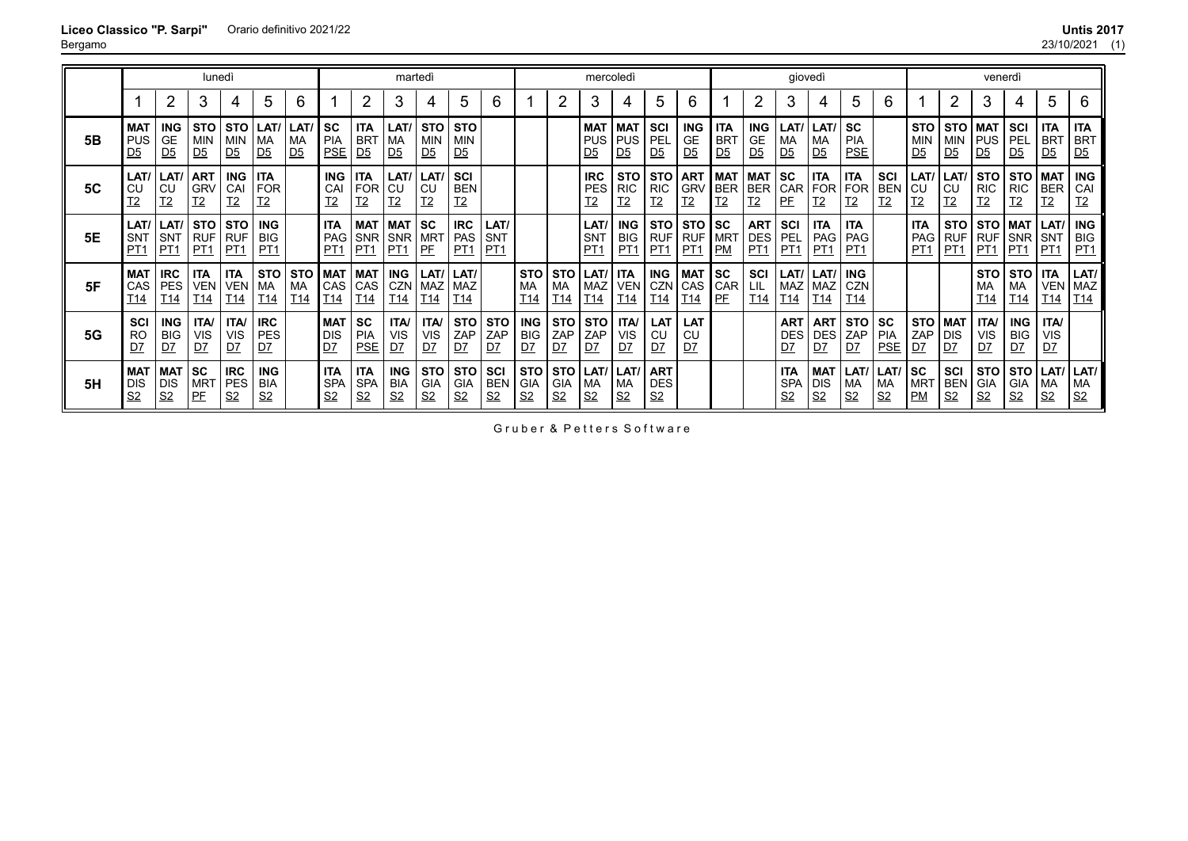| UIIUS ZU M |     |
|------------|-----|
| 23/10/2021 | (1) |

|           | lunedì<br>martedì                     |                                         |                                          |                                            |                                             |                                     |                                             |                                            | mercoledì                                  |                                            |                                             |                                       |                                            |                                       | giovedì                                    |                                             |                                            |                                           | venerdì                                    |                                     |                                            |                                            |                                             |                                     |                                                       |                                             |                                            |                                            |                                            |                                            |
|-----------|---------------------------------------|-----------------------------------------|------------------------------------------|--------------------------------------------|---------------------------------------------|-------------------------------------|---------------------------------------------|--------------------------------------------|--------------------------------------------|--------------------------------------------|---------------------------------------------|---------------------------------------|--------------------------------------------|---------------------------------------|--------------------------------------------|---------------------------------------------|--------------------------------------------|-------------------------------------------|--------------------------------------------|-------------------------------------|--------------------------------------------|--------------------------------------------|---------------------------------------------|-------------------------------------|-------------------------------------------------------|---------------------------------------------|--------------------------------------------|--------------------------------------------|--------------------------------------------|--------------------------------------------|
|           |                                       | 2                                       | 3                                        | 4                                          | 5                                           | 6                                   |                                             | 2                                          | 3                                          | 4                                          | 5.                                          | 6                                     |                                            | 2                                     | 3                                          | 4                                           | 5                                          | 6                                         |                                            | $\overline{2}$                      | 3                                          | 4                                          | 5.                                          | 6                                   |                                                       | $\overline{2}$                              | 3                                          |                                            | 5                                          | 6                                          |
| 5Β        | <b>MAT</b><br><b>PUS</b><br><u>D5</u> | <b>ING</b><br>GE<br>D <sub>5</sub>      | <b>STO</b><br>MIN<br>D <sub>5</sub>      | STO<br><b>MIN</b><br>D <sub>5</sub>        | LAT/<br><b>MA</b><br>D <sub>5</sub>         | LAT/<br><b>MA</b><br>D <sub>5</sub> | l SC<br>PIA<br><b>PSE</b>                   | <b>ITA</b><br><b>BRT</b><br>D <sub>5</sub> | LAT/<br>I MA<br>D <sub>5</sub>             | <b>STO</b><br><b>MIN</b><br>D <sub>5</sub> | <b>STO</b><br>  MIN<br>D <sub>5</sub>       |                                       |                                            |                                       | <b>MAT</b><br><b>PUS</b><br>D <sub>5</sub> | <b>MAT</b><br>PUS   PEL<br>D <sub>5</sub>   | l SCI.<br>D <sub>5</sub>                   | <b>ING</b><br><b>GE</b><br>D <sub>5</sub> | <b>ITA</b><br><b>BRT</b><br>D <sub>5</sub> | <b>ING</b><br>GE.<br>D <sub>5</sub> | LAT/<br>MA<br>D <sub>5</sub>               | LAT/<br>MA<br>D <sub>5</sub>               | <b>SC</b><br><b>PIA</b><br><b>PSE</b>       |                                     | <b>STO</b><br>MIN<br>D <sub>5</sub>                   | <b>STO</b><br>MIN<br>D <sub>5</sub>         | <b>MAT</b><br><b>PUS</b><br>D <sub>5</sub> | <b>SCI</b><br>l pel<br>D <sub>5</sub>      | <b>ITA</b><br><b>BRT</b><br>D <sub>5</sub> | <b>ITA</b><br><b>BRT</b><br>D <sub>5</sub> |
| <b>5C</b> | LAT/<br>CU<br>Т2                      | LAT/<br>CU<br>I <sub>2</sub>            | <b>ART</b><br><b>GRV</b><br><u>T2</u>    | <b>ING</b><br>CAI<br><u>T2</u>             | <b>ITA</b><br><b>FOR</b><br>T <sub>2</sub>  |                                     | <b>ING</b><br>CAI<br>T <sub>2</sub>         | <b>ITA</b><br>FOR CU<br><u>T2</u>          | LAT/<br><u>T2</u>                          | LAT/<br>CU<br><u>T2</u>                    | <b>SCI</b><br><b>BEN</b><br>T <sub>2</sub>  |                                       |                                            |                                       | <b>IRC</b><br><b>PES</b><br><u>T2</u>      | <b>STO</b><br><b>RIC</b><br>$\overline{12}$ | l RIC<br><u>T2</u>                         | STO   ART<br><b>GRV</b><br>I <sub>2</sub> | <b>MAT MAT</b><br>BER<br>T <sub>2</sub>    | BER<br>T <sub>2</sub>               | <b>SC</b><br><b>CAR</b><br>PE              | <b>ITA</b><br>FOR FOR<br><u>T2</u>         | <b>ITA</b><br>T <sub>2</sub>                | SCI<br><b>BEN</b><br>I <sub>2</sub> | LAT/<br>$\overline{\phantom{a}}$ CU<br>T <sub>2</sub> | LAT/<br><b>CU</b><br>I2                     | <b>STO</b><br><b>RIC</b><br>T <sub>2</sub> | <b>STO</b><br><b>RIC</b><br>T <sub>2</sub> | MAT<br><b>BER</b><br>T <sub>2</sub>        | <b>ING</b><br>CAI<br>I2                    |
| 5E        | LAT/<br><b>SNT</b><br>PT1             | LAT/ <br>SNT<br>PT <sub>1</sub>         | STO STO<br><b>RUF</b><br>PT <sub>1</sub> | <b>RUF</b><br>PT1                          | <b>ING</b><br><b>BIG</b><br>PT <sub>1</sub> |                                     | <b>ITA</b><br>PAG<br>PT <sub>1</sub>        | SNR  <br>PT <sub>1</sub>                   | MAT   MAT   SC<br><b>SNR</b><br>PT1        | MR <sub>1</sub><br>PF                      | <b>IRC</b><br><b>PAS</b><br>PT <sub>1</sub> | LAT/<br><b>SNT</b><br>PT <sub>1</sub> |                                            |                                       | LAT/<br><b>SNT</b><br>PT <sub>1</sub>      | <b>ING</b><br><b>BIG</b><br>PT <sub>1</sub> | l PT1                                      | STO   STO   SC<br>RUF RUF MRT<br>PT1      | <b>PM</b>                                  | <b>ART</b><br>DES<br>PT1            | SCI<br>PEL<br><u>PT1</u>                   | ITA<br>PAG<br>PT1                          | <b>ITA</b><br><b>PAG</b><br>PT <sub>1</sub> |                                     | <b>ITA</b><br>PAG<br>PT <sub>1</sub>                  | <b>STO</b><br><b>RUF</b><br>PT <sub>1</sub> | <b>RUF</b><br>PT <sub>1</sub>              | STO   MAT  <br><b>SNR</b><br>PT1           | LAT/<br>SNT<br>PT1                         | <b>ING</b><br><b>BIG</b><br><u>PT1</u>     |
| 5F        | <b>MAT</b><br>CAS<br>T14              | <b>IRC</b><br><b>PES</b><br>T14         | <b>ITA</b><br><b>VEN</b><br>T14          | <b>ITA</b><br><b>VEN</b><br>T14            | STO<br>I MA<br><u>T14</u>                   | STO<br><b>MA</b><br>T <sub>14</sub> | <b>MAT</b><br><b>CAS</b><br>T <sub>14</sub> | MAT  <br>CAS<br><u>T14</u>                 | <b>ING</b><br>CZN<br>T <sub>14</sub>       | LAT/<br><b>MAZ</b><br>T <sub>14</sub>      | LAT/<br>MAZ<br>T14                          |                                       | <b>STO</b><br><b>MA</b><br>T <sub>14</sub> | STO<br>MA<br>T14                      | LAT/<br><b>IMAZ</b><br>T14                 | <b>ITA</b><br><b>VEN</b><br>T14             | <b>ING</b><br>T14                          | MAT<br>CZN CAS<br>T14                     | $\sf{I}$ sc<br><b>CAR</b><br>PF            | <b>SCI</b><br>LIL.<br>T14           | LAT/ I<br><b>MAZ</b><br>T14                | LAT/ <br><b>MAZ</b><br>T <sub>14</sub>     | <b>ING</b><br>CZN<br>T14                    |                                     |                                                       |                                             | <b>STO</b><br>МA<br>T14                    | <b>STO</b><br>MA<br>T <sub>14</sub>        | <b>ITA</b><br><b>VEN</b><br>T14            | LAT/<br>MAZ<br>T14                         |
| 5G        | SCI<br><b>RO</b><br>D7                | <b>ING</b><br><b>BIG</b><br>D7          | <b>ITA</b><br><b>VIS</b><br>D7           | <b>ITA/</b><br><b>VIS</b><br>DZ            | <b>IRC</b><br><b>PES</b><br>D7              |                                     | <b>MAT</b><br><b>DIS</b><br>DZ              | <b>SC</b><br><b>PIA</b><br><b>PSE</b>      | <b>ITA</b><br><b>VIS</b><br>D7             | <b>ITA</b><br><b>VIS</b><br>D7             | $ZAP$ $ZAP$<br>D7                           | STO STO<br>DZ                         | ING<br><b>BIG</b><br>DZ                    | STO  <br>ZAP<br><u>D7</u>             | <b>STO</b><br>ZAP<br>D7                    | <b>ITA/</b><br><b>VIS</b><br>D7             | <b>LAT</b><br>CU<br><u>D7</u>              | LAT<br>CU<br>DZ                           |                                            |                                     | ART<br><b>DES</b><br>D7                    | ART  <br>DES<br>DZ                         | STO SC<br>ZAP<br><u>D7</u>                  | <b>PIA</b><br><b>PSE</b>            | <b>STO MAT</b><br>ZAP<br>D7                           | <b>DIS</b><br>DZ                            | <b>ITA/</b><br><b>VIS</b><br>D7            | <b>ING</b><br><b>BIG</b><br>D7             | <b>ITA/</b><br><b>VIS</b><br>DZ            |                                            |
| 5H        | <b>MAT</b><br>DIS<br>S <sub>2</sub>   | I MAT I<br><b>DIS</b><br>S <sub>2</sub> | l SC.<br><b>MRT</b><br>PF                | <b>IRC</b><br><b>PES</b><br>S <sub>2</sub> | ING.<br><b>BIA</b><br>S <sub>2</sub>        |                                     | <b>ITA</b><br>SPA<br>S <sub>2</sub>         | ITA<br><b>SPA</b><br>S <sub>2</sub>        | <b>ING</b><br><b>BIA</b><br>S <sub>2</sub> | <b>STO</b><br>GIA<br>S <sub>2</sub>        | STO I<br><b>GIA</b><br>S <sub>2</sub>       | SCI<br><b>BEN</b><br>S <sub>2</sub>   | I STO<br><b>GIA</b><br>S <sub>2</sub>      | STO   LAT/<br>  GIA<br>S <sub>2</sub> | <b>IMA</b><br><u>S2</u>                    | <b>LAT</b><br>MA<br><u>S2</u>               | <b>ART</b><br><b>DES</b><br>S <sub>2</sub> |                                           |                                            |                                     | <b>ITA</b><br><b>SPA</b><br>S <sub>2</sub> | <b>MAT</b><br><b>DIS</b><br>S <sub>2</sub> | LAT/<br><b>MA</b><br>S <sub>2</sub>         | LAT/ SC<br>MA<br>S <sub>2</sub>     | MR<br><b>PM</b>                                       | SCI<br><b>BEN</b><br>S <sub>2</sub>         | <b>STO</b><br>GIA<br>S <sub>2</sub>        | <b>STO</b><br>GIA<br>S <sub>2</sub>        | LAT/<br>МA<br>S <sub>2</sub>               | LAT/ I<br>l MA<br>S <sub>2</sub>           |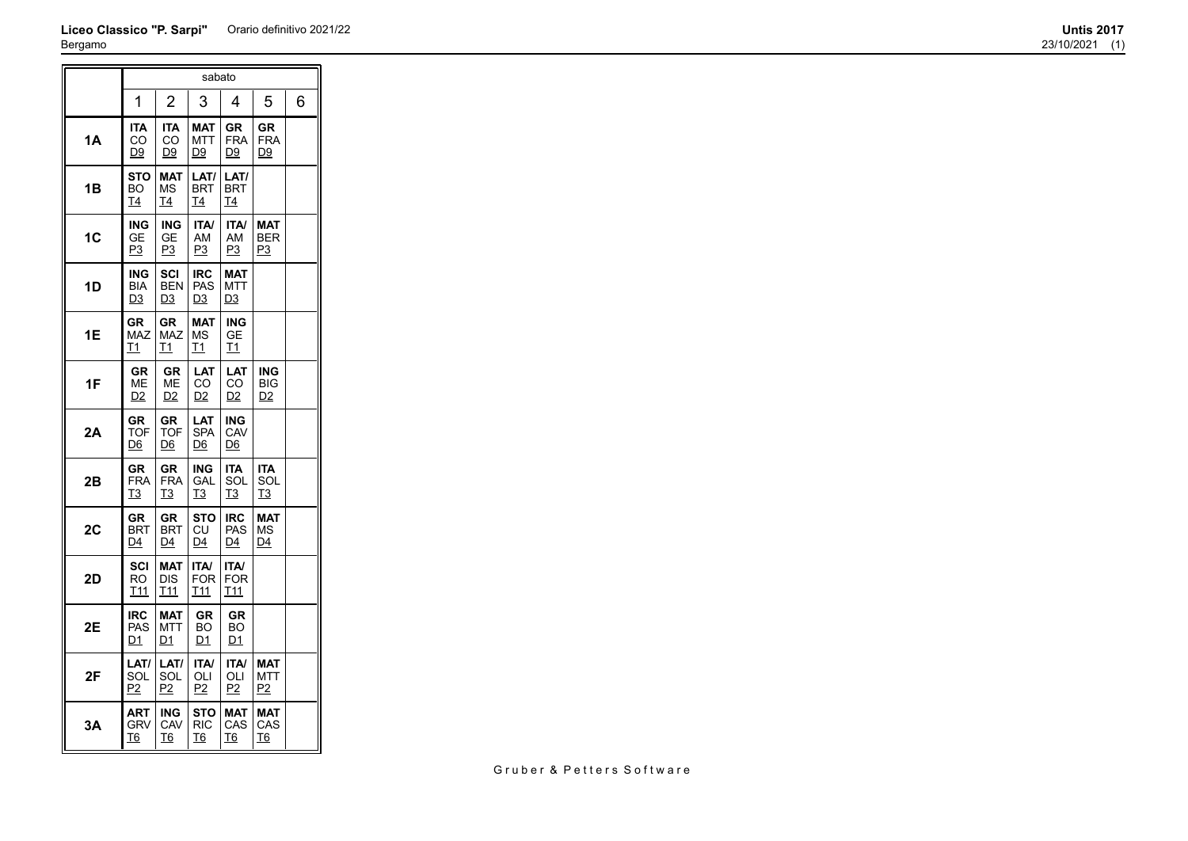## **Liceo Classico "P. Sarpi"** Orario definitivo 2021/22 **Untis 2017** Bergamo

|           |                                     |                                               | sabato                                |                                  |                                            |   |
|-----------|-------------------------------------|-----------------------------------------------|---------------------------------------|----------------------------------|--------------------------------------------|---|
|           | 1                                   | $\overline{2}$                                | 3                                     | 4                                | 5                                          | 6 |
| <b>1A</b> | <b>ITA</b><br>CO<br>D9              | <b>ITA</b><br>CO<br><u>D9</u>                 | <b>MAT</b><br><b>MTT</b><br>D9        | <b>GR</b><br><b>FRA</b><br>D9    | <b>GR</b><br><b>FRA</b><br>D9              |   |
| 1В        | <b>STO</b><br>BO<br>Τ4              | <b>MAT</b><br>MS<br>T4                        | LAT/<br><b>BRT</b><br>T4              | LAT/<br><b>BRT</b><br>T4         |                                            |   |
| 1C        | ING<br>GЕ<br><u>P3</u>              | <b>ING</b><br>GЕ<br><u>P3</u>                 | <b>ITA/</b><br>AM<br>P3               | <b>ITA/</b><br>AM<br><u>P3</u>   | <b>MAT</b><br><b>BER</b><br>P3             |   |
| 1D        | ING<br><b>BIA</b><br>D <sub>3</sub> | SCI<br><b>BEN</b><br><u>D3</u>                | <b>IRC</b><br><b>PAS</b><br>D3        | MAT<br>MTT<br>D <sub>3</sub>     |                                            |   |
| 1Е        | GR<br><b>MAZ</b><br><u>T1</u>       | GR<br><b>MAZ</b><br><u>T1</u>                 | <b>MAT</b><br>ΜS<br><u>T1</u>         | <b>ING</b><br>GE<br><u>T1</u>    |                                            |   |
| 1F        | <b>GR</b><br>МЕ<br>D <sub>2</sub>   | GR<br>ΜЕ<br>D2                                | LAT<br>CO.<br>D <sub>2</sub>          | LAT<br>CO<br>D2                  | <b>ING</b><br><b>BIG</b><br>D <sub>2</sub> |   |
| 2A        | GR<br>TOF<br>D6                     | GR<br><b>TOF</b><br>$\underline{\mathsf{D6}}$ | LAT<br><b>SPA</b><br><u>D6</u>        | ING<br>CAV<br>D6                 |                                            |   |
| 2Β        | GR<br><b>FRA</b><br>T3              | <b>GR</b><br><b>FRA</b><br>T3                 | <b>ING</b><br>GAL<br>T3               | <b>ITA</b><br>SOL<br>T3          | <b>ITA</b><br>SOL<br>T <sub>3</sub>        |   |
| 2C        | GR<br><b>BRT</b><br>D4              | <b>GR</b><br><b>BRT</b><br>$\overline{D4}$    | STO<br>СU<br>$\overline{\mathsf{D4}}$ | <b>IRC</b><br>PAS<br>D4          | <b>MAT</b><br>ΜS<br>D4                     |   |
| 2D        | SCI<br>RO<br>T11                    | <b>MAT</b><br>DIS<br>T <sub>11</sub>          | <b>ITA/</b><br><b>FOR</b><br>T11      | <b>ITA/</b><br><b>FOR</b><br>T11 |                                            |   |
| 2E        | <b>IRC</b><br>PAS<br>D1             | <b>MAT</b><br>MTT<br>D1                       | <b>GR</b><br>BO<br>D1                 | <b>GR</b><br>BO<br>D1            |                                            |   |
| 2F        | LAT/<br>SOL<br><u>P2</u>            | LAT/<br>SOL<br>P2                             | <b>ITA/</b><br>OLI<br>P2              | <b>ITA/</b><br>OLI<br>P2         | <b>MAT</b><br>MTT<br>P2                    |   |
| 3A        | <b>ART</b><br>GRV<br><u>T6</u>      | ING<br>CAV<br><u>T6</u>                       | <b>STO</b><br><b>RIC</b><br><u>T6</u> | <b>MAT</b><br>CAS<br><u>T6</u>   | <b>MAT</b><br>CAS<br><u>T6</u>             |   |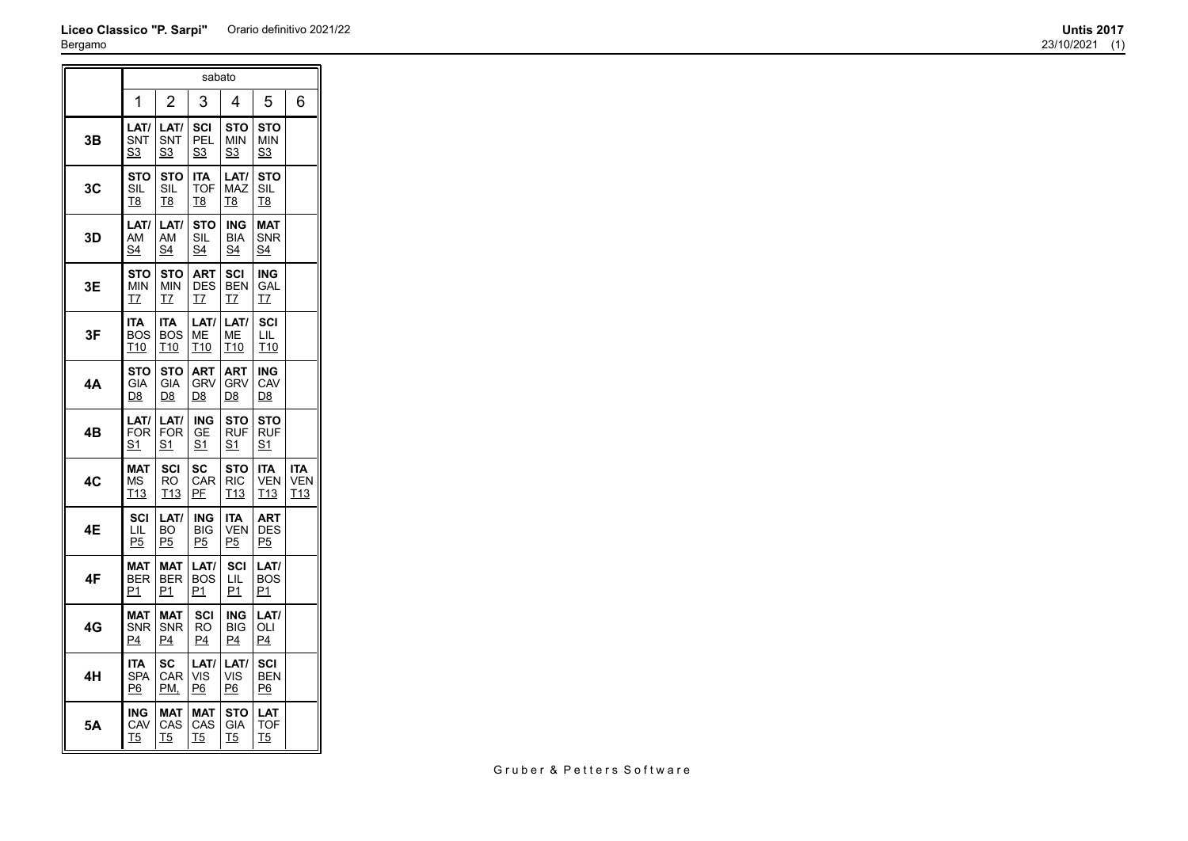## **Liceo Classico "P. Sarpi"** Orario definitivo 2021/22 **Untis 2017** Bergamo

 $\overline{a}$ 

|    | sabato                         |                                             |                                       |                                       |                                             |                                             |  |  |  |  |
|----|--------------------------------|---------------------------------------------|---------------------------------------|---------------------------------------|---------------------------------------------|---------------------------------------------|--|--|--|--|
|    | 1                              | $\overline{2}$                              | 3                                     | 4                                     | 5                                           | 6                                           |  |  |  |  |
| 3Β | LAT/<br>SNT<br>S3              | LAT/<br>SNT<br>S3                           | SCI<br>PEL<br>S3                      | <b>STO</b><br><b>MIN</b><br>S3        | <b>STO</b><br><b>MIN</b><br>S <sub>3</sub>  |                                             |  |  |  |  |
| 3C | <b>STO</b><br>SIL<br>T8        | <b>STO</b><br>SIL<br>T8                     | <b>ITA</b><br><b>TOF</b><br>T8        | LAT/<br><b>MAZ</b><br>T8              | <b>STO</b><br>SIL<br>T8                     |                                             |  |  |  |  |
| 3D | LAT/<br>AM<br>S4               | LAT/<br>AM<br>S4                            | <b>STO</b><br>SIL<br>S4               | <b>ING</b><br><b>BIA</b><br>S4        | <b>MAT</b><br>SNR<br>S4                     |                                             |  |  |  |  |
| 3Ε | <b>STO</b><br>MIN<br>Τ7        | <b>STO</b><br><b>MIN</b><br>T7              | <b>ART</b><br><b>DES</b><br><u>T7</u> | <b>SCI</b><br><b>BEN</b><br>T7        | <b>ING</b><br>GAL<br>T7                     |                                             |  |  |  |  |
| 3F | ITA<br>BOS<br>T10              | <b>ITA</b><br><b>BOS</b><br>T <sub>10</sub> | LAT/<br>МE<br>T <sub>10</sub>         | LAT/<br>MЕ<br>T <sub>10</sub>         | SCI<br>LIL<br>T <sub>10</sub>               |                                             |  |  |  |  |
| 4А | <b>STO</b><br>GIA<br><u>D8</u> | <b>STO</b><br><b>GIA</b><br><u>D8</u>       | <b>ART</b><br><b>GRV</b><br><u>D8</u> | <b>ART</b><br><b>GRV</b><br><u>D8</u> | <b>ING</b><br>CAV<br><u>D8</u>              |                                             |  |  |  |  |
| 4Β | LAT/<br><b>FOR</b><br>S1       | LAT/<br><b>FOR</b><br>S1                    | <b>ING</b><br>GE<br>S <sub>1</sub>    | <b>STO</b><br><b>RUF</b><br>S1        | <b>STO</b><br><b>RUF</b><br>S <sub>1</sub>  |                                             |  |  |  |  |
| 4C | <b>MAT</b><br>ΜS<br>T13        | SCI<br><b>RO</b><br>T <sub>13</sub>         | <b>SC</b><br>CAR<br>PF                | <b>STO</b><br><b>RIC</b><br>T13       | <b>ITA</b><br><b>VEN</b><br>T <sub>13</sub> | <b>ITA</b><br><b>VEN</b><br>T <sub>13</sub> |  |  |  |  |
| 4Ε | SCI<br>LIL<br>P5               | LAT/<br><b>BO</b><br>P <sub>5</sub>         | <b>ING</b><br><b>BIG</b><br>P5        | <b>ITA</b><br><b>VEN</b><br>P5        | <b>ART</b><br><b>DES</b><br>P <sub>5</sub>  |                                             |  |  |  |  |
| 4F | <b>MAT</b><br><b>BER</b><br>P1 | <b>MAT</b><br><b>BER</b><br>P1              | LAT/<br><b>BOS</b><br>P1              | SCI<br>LIL<br>P1                      | LAT/<br><b>BOS</b><br>P1                    |                                             |  |  |  |  |
| 4G | <b>MAT</b><br>SNR<br>P4        | <b>MAT</b><br><b>SNR</b><br>P4              | SCI<br>RO<br>P <sub>4</sub>           | ING<br><b>BIG</b><br>P4               | LAT/<br>OLI<br>P4                           |                                             |  |  |  |  |
| 4H | <b>ITA</b><br><b>SPA</b><br>P6 | SC<br>CAR<br>PM.                            | LAT/<br>VIS<br>P6                     | LAT/<br>VIS<br>P6                     | SCI<br><b>BEN</b><br>P6                     |                                             |  |  |  |  |
| 5A | <b>ING</b><br>CAV<br><u>T5</u> | <b>MAT</b><br>CAS<br><u>T5</u>              | <b>MAT</b><br>CAS<br><u>T5</u>        | <b>STO</b><br>GIA<br><u>T5</u>        | LAT<br>TOF<br><u>T5</u>                     |                                             |  |  |  |  |